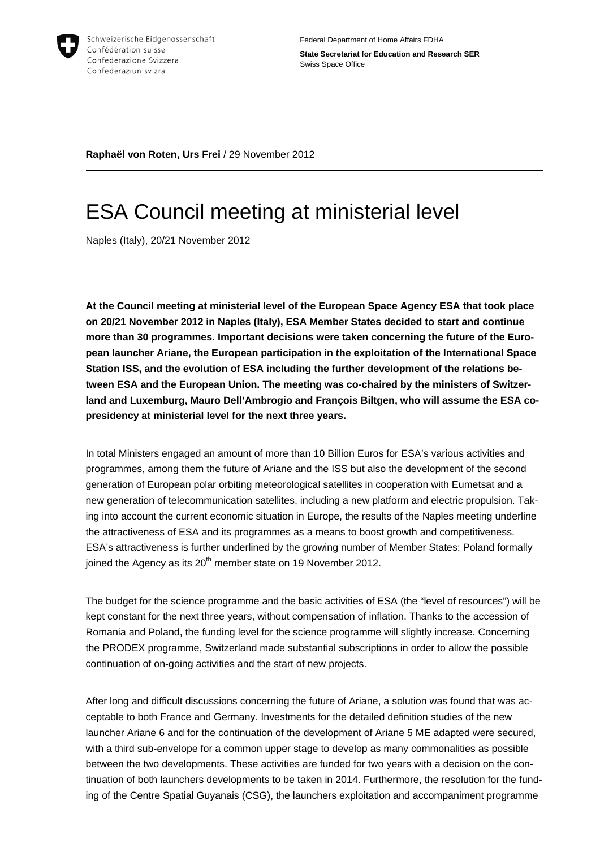

**Raphaël von Roten, Urs Frei** / 29 November 2012

## ESA Council meeting at ministerial level

Naples (Italy), 20/21 November 2012

**At the Council meeting at ministerial level of the European Space Agency ESA that took place on 20/21 November 2012 in Naples (Italy), ESA Member States decided to start and continue more than 30 programmes. Important decisions were taken concerning the future of the European launcher Ariane, the European participation in the exploitation of the International Space Station ISS, and the evolution of ESA including the further development of the relations between ESA and the European Union. The meeting was co-chaired by the ministers of Switzerland and Luxemburg, Mauro Dell'Ambrogio and François Biltgen, who will assume the ESA copresidency at ministerial level for the next three years.**

In total Ministers engaged an amount of more than 10 Billion Euros for ESA's various activities and programmes, among them the future of Ariane and the ISS but also the development of the second generation of European polar orbiting meteorological satellites in cooperation with Eumetsat and a new generation of telecommunication satellites, including a new platform and electric propulsion. Taking into account the current economic situation in Europe, the results of the Naples meeting underline the attractiveness of ESA and its programmes as a means to boost growth and competitiveness. ESA's attractiveness is further underlined by the growing number of Member States: Poland formally joined the Agency as its  $20<sup>th</sup>$  member state on 19 November 2012.

The budget for the science programme and the basic activities of ESA (the "level of resources") will be kept constant for the next three years, without compensation of inflation. Thanks to the accession of Romania and Poland, the funding level for the science programme will slightly increase. Concerning the PRODEX programme, Switzerland made substantial subscriptions in order to allow the possible continuation of on-going activities and the start of new projects.

After long and difficult discussions concerning the future of Ariane, a solution was found that was acceptable to both France and Germany. Investments for the detailed definition studies of the new launcher Ariane 6 and for the continuation of the development of Ariane 5 ME adapted were secured, with a third sub-envelope for a common upper stage to develop as many commonalities as possible between the two developments. These activities are funded for two years with a decision on the continuation of both launchers developments to be taken in 2014. Furthermore, the resolution for the funding of the Centre Spatial Guyanais (CSG), the launchers exploitation and accompaniment programme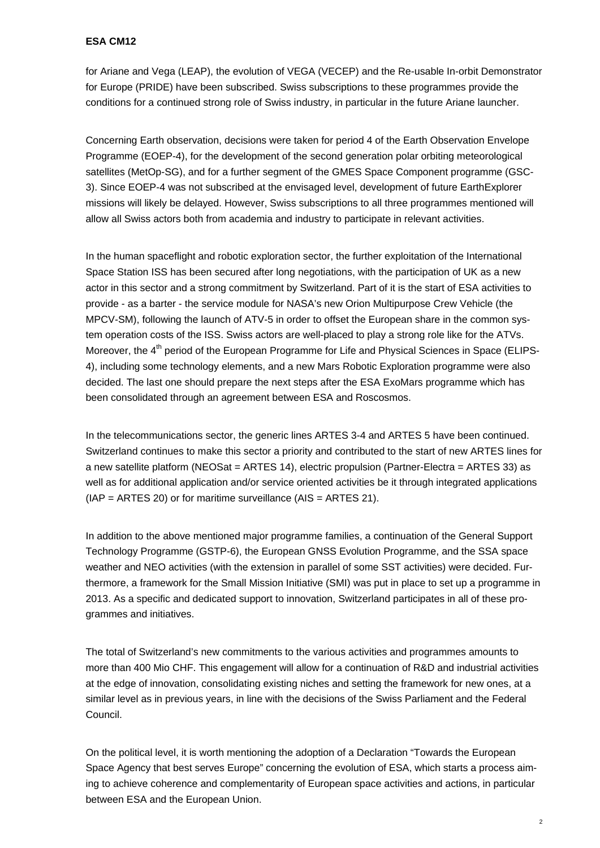## **ESA CM12**

for Ariane and Vega (LEAP), the evolution of VEGA (VECEP) and the Re-usable In-orbit Demonstrator for Europe (PRIDE) have been subscribed. Swiss subscriptions to these programmes provide the conditions for a continued strong role of Swiss industry, in particular in the future Ariane launcher.

Concerning Earth observation, decisions were taken for period 4 of the Earth Observation Envelope Programme (EOEP-4), for the development of the second generation polar orbiting meteorological satellites (MetOp-SG), and for a further segment of the GMES Space Component programme (GSC-3). Since EOEP-4 was not subscribed at the envisaged level, development of future EarthExplorer missions will likely be delayed. However, Swiss subscriptions to all three programmes mentioned will allow all Swiss actors both from academia and industry to participate in relevant activities.

In the human spaceflight and robotic exploration sector, the further exploitation of the International Space Station ISS has been secured after long negotiations, with the participation of UK as a new actor in this sector and a strong commitment by Switzerland. Part of it is the start of ESA activities to provide - as a barter - the service module for NASA's new Orion Multipurpose Crew Vehicle (the MPCV-SM), following the launch of ATV-5 in order to offset the European share in the common system operation costs of the ISS. Swiss actors are well-placed to play a strong role like for the ATVs. Moreover, the 4<sup>th</sup> period of the European Programme for Life and Physical Sciences in Space (ELIPS-4), including some technology elements, and a new Mars Robotic Exploration programme were also decided. The last one should prepare the next steps after the ESA ExoMars programme which has been consolidated through an agreement between ESA and Roscosmos.

In the telecommunications sector, the generic lines ARTES 3-4 and ARTES 5 have been continued. Switzerland continues to make this sector a priority and contributed to the start of new ARTES lines for a new satellite platform (NEOSat = ARTES 14), electric propulsion (Partner-Electra = ARTES 33) as well as for additional application and/or service oriented activities be it through integrated applications  $(IAP = ARTES 20)$  or for maritime surveillance  $(AIS = ARTES 21)$ .

In addition to the above mentioned major programme families, a continuation of the General Support Technology Programme (GSTP-6), the European GNSS Evolution Programme, and the SSA space weather and NEO activities (with the extension in parallel of some SST activities) were decided. Furthermore, a framework for the Small Mission Initiative (SMI) was put in place to set up a programme in 2013. As a specific and dedicated support to innovation, Switzerland participates in all of these programmes and initiatives.

The total of Switzerland's new commitments to the various activities and programmes amounts to more than 400 Mio CHF. This engagement will allow for a continuation of R&D and industrial activities at the edge of innovation, consolidating existing niches and setting the framework for new ones, at a similar level as in previous years, in line with the decisions of the Swiss Parliament and the Federal Council.

On the political level, it is worth mentioning the adoption of a Declaration "Towards the European Space Agency that best serves Europe" concerning the evolution of ESA, which starts a process aiming to achieve coherence and complementarity of European space activities and actions, in particular between ESA and the European Union.